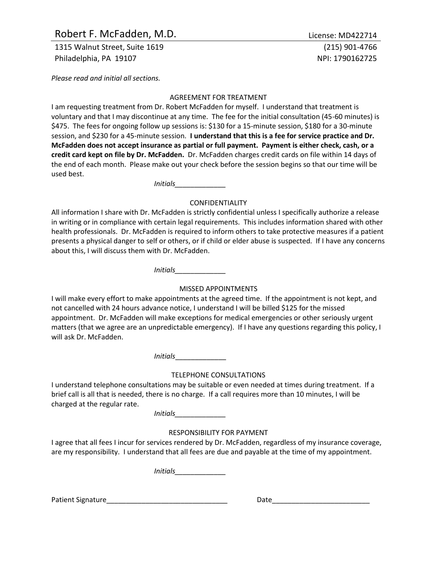# Robert F. McFadden, M.D. Sales and the Control of License: MD422714

1315 Walnut Street, Suite 1619 (215) 901-4766 Philadelphia, PA 19107 NPI: 1790162725

*Please read and initial all sections.*

#### AGREEMENT FOR TREATMENT

I am requesting treatment from Dr. Robert McFadden for myself. I understand that treatment is voluntary and that I may discontinue at any time. The fee for the initial consultation (45-60 minutes) is \$475. The fees for ongoing follow up sessions is: \$130 for a 15-minute session, \$180 for a 30-minute session, and \$230 for a 45-minute session. **I understand that this is a fee for service practice and Dr. McFadden does not accept insurance as partial or full payment. Payment is either check, cash, or a credit card kept on file by Dr. McFadden.** Dr. McFadden charges credit cards on file within 14 days of the end of each month. Please make out your check before the session begins so that our time will be used best.

*Initials\_\_\_\_\_\_\_\_\_\_\_\_\_*

#### CONFIDENTIALITY

All information I share with Dr. McFadden is strictly confidential unless I specifically authorize a release in writing or in compliance with certain legal requirements. This includes information shared with other health professionals. Dr. McFadden is required to inform others to take protective measures if a patient presents a physical danger to self or others, or if child or elder abuse is suspected. If I have any concerns about this, I will discuss them with Dr. McFadden.

*Initials\_\_\_\_\_\_\_\_\_\_\_\_\_*

## MISSED APPOINTMENTS

I will make every effort to make appointments at the agreed time. If the appointment is not kept, and not cancelled with 24 hours advance notice, I understand I will be billed \$125 for the missed appointment. Dr. McFadden will make exceptions for medical emergencies or other seriously urgent matters (that we agree are an unpredictable emergency). If I have any questions regarding this policy, I will ask Dr. McFadden.

*Initials*\_\_\_\_\_\_\_\_\_\_\_\_\_

## TELEPHONE CONSULTATIONS

I understand telephone consultations may be suitable or even needed at times during treatment. If a brief call is all that is needed, there is no charge. If a call requires more than 10 minutes, I will be charged at the regular rate.

*Initials\_\_\_\_\_\_\_\_\_\_\_\_\_*

## RESPONSIBILITY FOR PAYMENT

I agree that all fees I incur for services rendered by Dr. McFadden, regardless of my insurance coverage, are my responsibility. I understand that all fees are due and payable at the time of my appointment.

*Initials\_\_\_\_\_\_\_\_\_\_\_\_\_*

Patient Signature\_\_\_\_\_\_\_\_\_\_\_\_\_\_\_\_\_\_\_\_\_\_\_\_\_\_\_\_\_\_\_ Date\_\_\_\_\_\_\_\_\_\_\_\_\_\_\_\_\_\_\_\_\_\_\_\_\_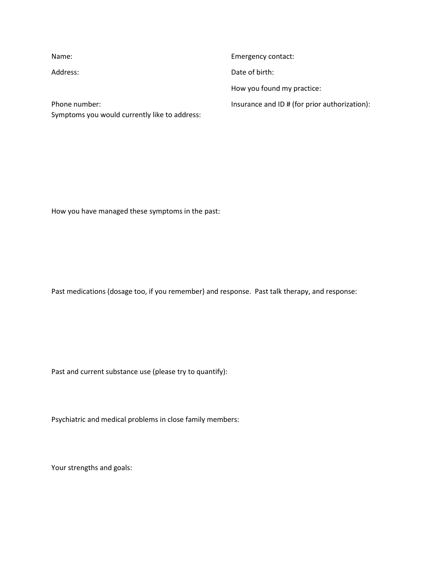| Name:                                         | Emergency contact:                            |
|-----------------------------------------------|-----------------------------------------------|
| Address:                                      | Date of birth:                                |
|                                               | How you found my practice:                    |
| Phone number:                                 | Insurance and ID # (for prior authorization): |
| Symptoms you would currently like to address: |                                               |

How you have managed these symptoms in the past:

Past medications (dosage too, if you remember) and response. Past talk therapy, and response:

Past and current substance use (please try to quantify):

Psychiatric and medical problems in close family members:

Your strengths and goals: